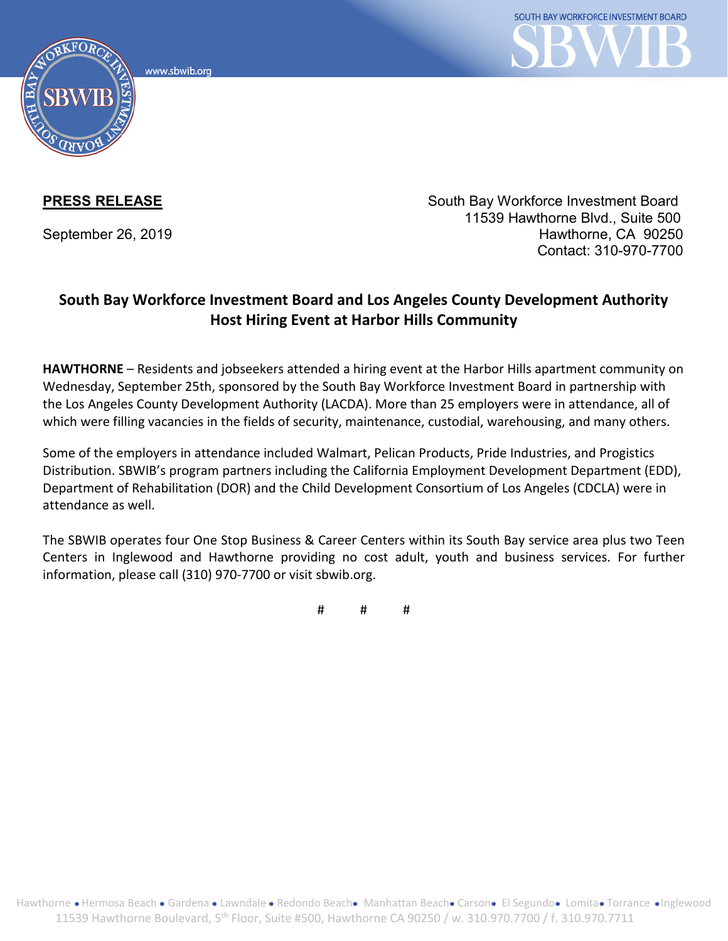www.sbwib.org



**PRESS RELEASE** South Bay Workforce Investment Board 11539 Hawthorne Blvd., Suite 500 September 26, 2019 **Hawthorne, CA 90250** Contact: 310-970-7700

## **South Bay Workforce Investment Board and Los Angeles County Development Authority Host Hiring Event at Harbor Hills Community**

**HAWTHORNE** – Residents and jobseekers attended a hiring event at the Harbor Hills apartment community on Wednesday, September 25th, sponsored by the South Bay Workforce Investment Board in partnership with the Los Angeles County Development Authority (LACDA). More than 25 employers were in attendance, all of which were filling vacancies in the fields of security, maintenance, custodial, warehousing, and many others.

Some of the employers in attendance included Walmart, Pelican Products, Pride Industries, and Progistics Distribution. SBWIB's program partners including the California Employment Development Department (EDD), Department of Rehabilitation (DOR) and the Child Development Consortium of Los Angeles (CDCLA) were in attendance as well.

The SBWIB operates four One Stop Business & Career Centers within its South Bay service area plus two Teen Centers in Inglewood and Hawthorne providing no cost adult, youth and business services. For further information, please call (310) 970-7700 or visit sbwib.org.

# # #